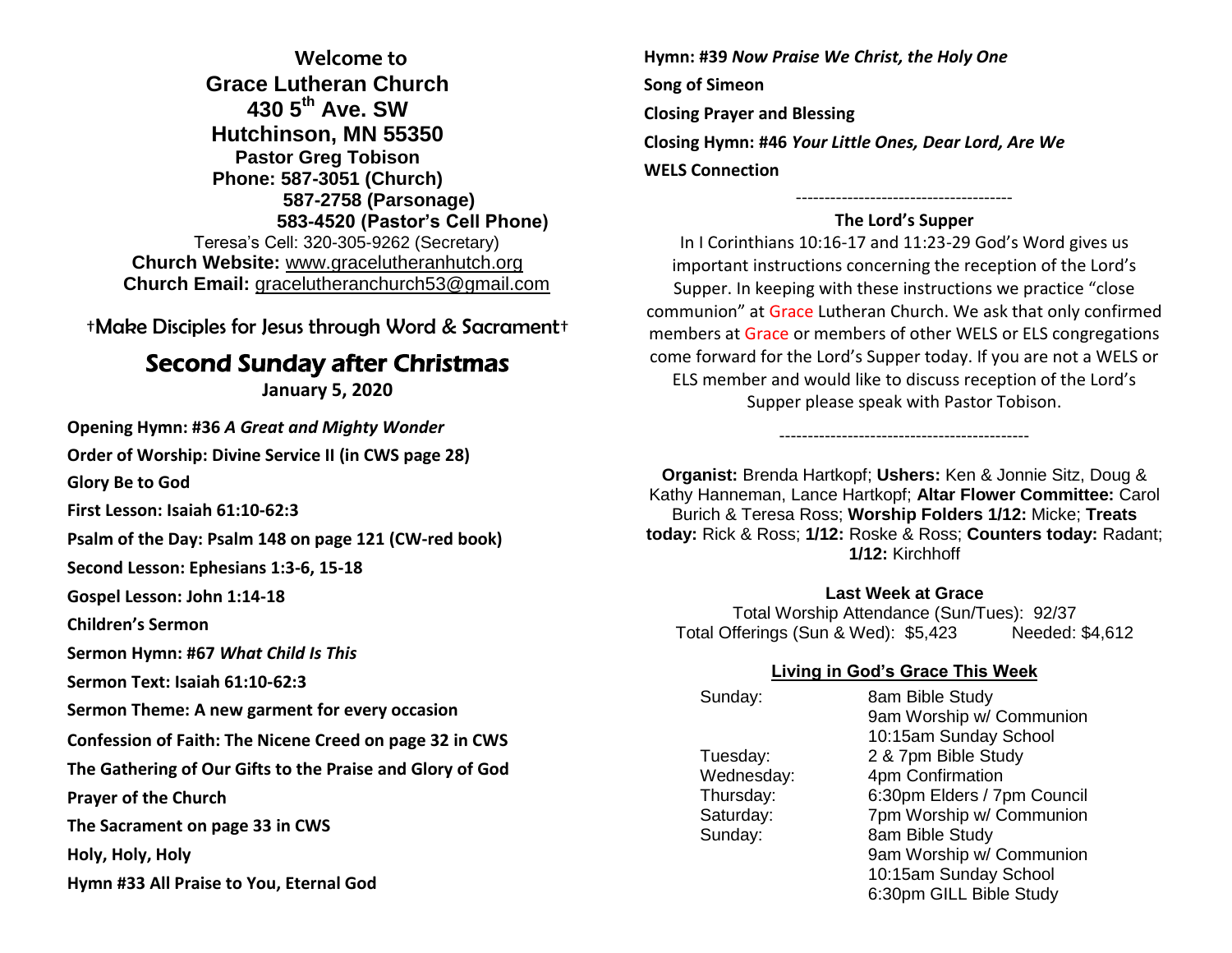**Welcome to Grace Lutheran Church 430 5th Ave. SW Hutchinson, MN 55350 Pastor Greg Tobison Phone: 587-3051 (Church) 587-2758 (Parsonage) 583-4520 (Pastor's Cell Phone)** Teresa's Cell: 320-305-9262 (Secretary) **Church Website:** [www.gracelutheranhutch.org](http://www.gracelutheranhutch.org/) **Church Email:** [gracelutheranchurch53@gmail.com](mailto:gracelutheranchurch53@gmail.com)

†Make Disciples for Jesus through Word & Sacrament†

## Second Sunday after Christmas

**January 5, 2020**

**Opening Hymn: #36** *A Great and Mighty Wonder*

**Order of Worship: Divine Service II (in CWS page 28)**

**Glory Be to God** 

**First Lesson: Isaiah 61:10-62:3**

**Psalm of the Day: Psalm 148 on page 121 (CW-red book)**

**Second Lesson: Ephesians 1:3-6, 15-18**

**Gospel Lesson: John 1:14-18**

**Children's Sermon**

**Sermon Hymn: #67** *What Child Is This*

**Sermon Text: Isaiah 61:10-62:3**

**Sermon Theme: A new garment for every occasion**

**Confession of Faith: The Nicene Creed on page 32 in CWS**

**The Gathering of Our Gifts to the Praise and Glory of God**

**Prayer of the Church** 

**The Sacrament on page 33 in CWS**

**Holy, Holy, Holy**

**Hymn #33 All Praise to You, Eternal God**

**Hymn: #39** *Now Praise We Christ, the Holy One* **Song of Simeon Closing Prayer and Blessing Closing Hymn: #46** *Your Little Ones, Dear Lord, Are We* **WELS Connection**

## -------------------------------------- **The Lord's Supper**

In I Corinthians 10:16-17 and 11:23-29 God's Word gives us important instructions concerning the reception of the Lord's Supper. In keeping with these instructions we practice "close communion" at Grace Lutheran Church. We ask that only confirmed members at Grace or members of other WELS or ELS congregations come forward for the Lord's Supper today. If you are not a WELS or ELS member and would like to discuss reception of the Lord's Supper please speak with Pastor Tobison.

**Organist:** Brenda Hartkopf; **Ushers:** Ken & Jonnie Sitz, Doug & Kathy Hanneman, Lance Hartkopf; **Altar Flower Committee:** Carol Burich & Teresa Ross; **Worship Folders 1/12:** Micke; **Treats today:** Rick & Ross; **1/12:** Roske & Ross; **Counters today:** Radant; **1/12:** Kirchhoff

--------------------------------------------

## **Last Week at Grace**

Total Worship Attendance (Sun/Tues): 92/37 Total Offerings (Sun & Wed): \$5,423 Needed: \$4,612

## **Living in God's Grace This Week**

| Sunday:    | 8am Bible Study             |
|------------|-----------------------------|
|            |                             |
|            | 9am Worship w/ Communion    |
|            | 10:15am Sunday School       |
| Tuesday:   | 2 & 7pm Bible Study         |
| Wednesday: | 4pm Confirmation            |
| Thursday:  | 6:30pm Elders / 7pm Council |
| Saturday:  | 7pm Worship w/ Communion    |
| Sunday:    | 8am Bible Study             |
|            | 9am Worship w/ Communion    |
|            | 10:15am Sunday School       |
|            |                             |

6:30pm GILL Bible Study